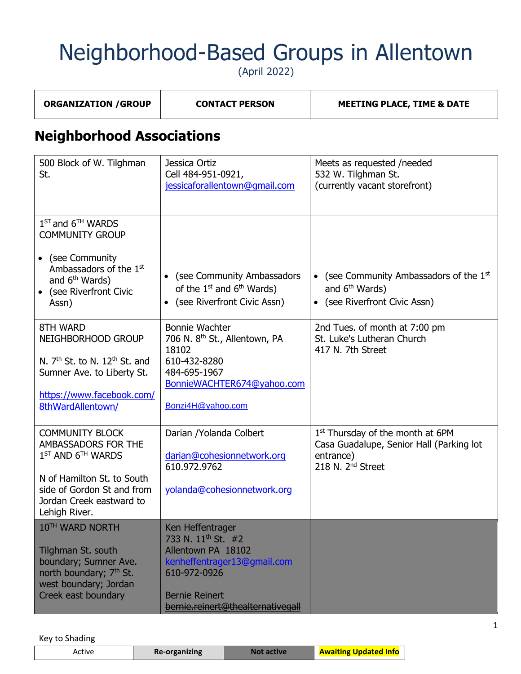(April 2022)

| <b>ORGANIZATION / GROUP</b> | <b>CONTACT PERSON</b> | <b>MEETING PLACE, TIME &amp; DATE</b> |
|-----------------------------|-----------------------|---------------------------------------|
|                             |                       |                                       |

#### **Neighborhood Associations**

| 500 Block of W. Tilghman<br>St.                                                                                                                       | Jessica Ortiz<br>Cell 484-951-0921,<br>jessicaforallentown@qmail.com                                                                                                                  | Meets as requested /needed<br>532 W. Tilghman St.<br>(currently vacant storefront)                                                     |
|-------------------------------------------------------------------------------------------------------------------------------------------------------|---------------------------------------------------------------------------------------------------------------------------------------------------------------------------------------|----------------------------------------------------------------------------------------------------------------------------------------|
| $1^{ST}$ and $6^{TH}$ WARDS<br><b>COMMUNITY GROUP</b><br>• (see Community                                                                             |                                                                                                                                                                                       |                                                                                                                                        |
| Ambassadors of the $1st$<br>and 6 <sup>th</sup> Wards)<br>(see Riverfront Civic<br>Assn)                                                              | (see Community Ambassadors<br>$\bullet$<br>of the $1^{st}$ and $6^{th}$ Wards)<br>• (see Riverfront Civic Assn)                                                                       | (see Community Ambassadors of the 1st<br>$\bullet$<br>and 6 <sup>th</sup> Wards)<br>(see Riverfront Civic Assn)<br>$\bullet$           |
| 8TH WARD<br>NEIGHBORHOOD GROUP<br>N. $7th$ St. to N. 12 <sup>th</sup> St. and                                                                         | <b>Bonnie Wachter</b><br>706 N. 8 <sup>th</sup> St., Allentown, PA<br>18102<br>610-432-8280                                                                                           | 2nd Tues. of month at 7:00 pm<br>St. Luke's Lutheran Church<br>417 N. 7th Street                                                       |
| Sumner Ave. to Liberty St.                                                                                                                            | 484-695-1967<br>BonnieWACHTER674@yahoo.com                                                                                                                                            |                                                                                                                                        |
| https://www.facebook.com/<br>8thWardAllentown/                                                                                                        | Bonzi4H@yahoo.com                                                                                                                                                                     |                                                                                                                                        |
| <b>COMMUNITY BLOCK</b><br>AMBASSADORS FOR THE<br>1 <sup>ST</sup> AND 6 <sup>TH</sup> WARDS                                                            | Darian / Yolanda Colbert<br>darian@cohesionnetwork.org<br>610.972.9762                                                                                                                | 1 <sup>st</sup> Thursday of the month at 6PM<br>Casa Guadalupe, Senior Hall (Parking lot<br>entrance)<br>218 N. 2 <sup>nd</sup> Street |
| N of Hamilton St. to South<br>side of Gordon St and from<br>Jordan Creek eastward to<br>Lehigh River.                                                 | yolanda@cohesionnetwork.org                                                                                                                                                           |                                                                                                                                        |
| 10TH WARD NORTH<br>Tilghman St. south<br>boundary; Sumner Ave.<br>north boundary; 7 <sup>th</sup> St.<br>west boundary; Jordan<br>Creek east boundary | Ken Heffentrager<br>733 N. 11 <sup>th</sup> St. #2<br>Allentown PA 18102<br>kenheffentrager13@gmail.com<br>610-972-0926<br><b>Bernie Reinert</b><br>bernie.reinert@thealternativegall |                                                                                                                                        |

| Re-organizing<br>sctive. | Not active | <b>Awaiting Updated Info</b> |
|--------------------------|------------|------------------------------|
|--------------------------|------------|------------------------------|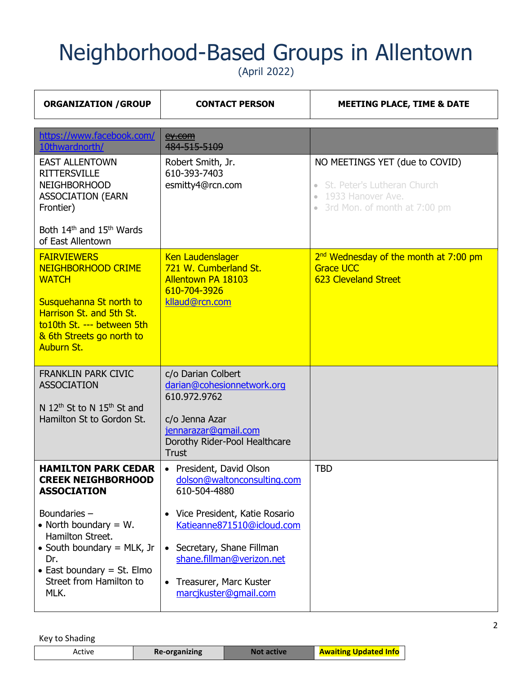(April 2022)

| <b>ORGANIZATION / GROUP</b>                                                                                                                                                                     | <b>CONTACT PERSON</b>                                                                                                                                                                  | <b>MEETING PLACE, TIME &amp; DATE</b>                                                                                               |
|-------------------------------------------------------------------------------------------------------------------------------------------------------------------------------------------------|----------------------------------------------------------------------------------------------------------------------------------------------------------------------------------------|-------------------------------------------------------------------------------------------------------------------------------------|
| https://www.facebook.com/<br>10thwardnorth/                                                                                                                                                     | ey.com<br>484-515-5109                                                                                                                                                                 |                                                                                                                                     |
| <b>EAST ALLENTOWN</b><br><b>RITTERSVILLE</b><br><b>NEIGHBORHOOD</b><br><b>ASSOCIATION (EARN</b><br>Frontier)                                                                                    | Robert Smith, Jr.<br>610-393-7403<br>esmitty4@rcn.com                                                                                                                                  | NO MEETINGS YET (due to COVID)<br>St. Peter's Lutheran Church<br>$\bullet$<br>• 1933 Hanover Ave.<br>• 3rd Mon. of month at 7:00 pm |
| Both 14 <sup>th</sup> and 15 <sup>th</sup> Wards<br>of East Allentown                                                                                                                           |                                                                                                                                                                                        |                                                                                                                                     |
| <b>FAIRVIEWERS</b><br><b>NEIGHBORHOOD CRIME</b><br><b>WATCH</b><br>Susquehanna St north to<br>Harrison St. and 5th St.<br>to10th St. --- between 5th<br>& 6th Streets go north to<br>Auburn St. | <b>Ken Laudenslager</b><br>721 W. Cumberland St.<br><b>Allentown PA 18103</b><br>610-704-3926<br>kllaud@rcn.com                                                                        | 2 <sup>nd</sup> Wednesday of the month at 7:00 pm<br><b>Grace UCC</b><br><b>623 Cleveland Street</b>                                |
| <b>FRANKLIN PARK CIVIC</b><br><b>ASSOCIATION</b><br>N 12 <sup>th</sup> St to N 15 <sup>th</sup> St and<br>Hamilton St to Gordon St.                                                             | c/o Darian Colbert<br>darian@cohesionnetwork.org<br>610.972.9762<br>c/o Jenna Azar<br>jennarazar@gmail.com<br>Dorothy Rider-Pool Healthcare<br><b>Trust</b>                            |                                                                                                                                     |
| <b>HAMILTON PARK CEDAR</b><br><b>CREEK NEIGHBORHOOD</b><br><b>ASSOCIATION</b>                                                                                                                   | • President, David Olson<br>dolson@waltonconsulting.com<br>610-504-4880                                                                                                                | <b>TBD</b>                                                                                                                          |
| Boundaries -<br>• North boundary $= W$ .<br>Hamilton Street.<br>• South boundary $=$ MLK, Jr<br>Dr.<br>• East boundary $=$ St. Elmo<br>Street from Hamilton to<br>MLK.                          | Vice President, Katie Rosario<br>Katieanne871510@icloud.com<br>• Secretary, Shane Fillman<br>shane.fillman@verizon.net<br>Treasurer, Marc Kuster<br>$\bullet$<br>marcjkuster@gmail.com |                                                                                                                                     |

| Updated Info<br><b>prganizing</b><br>ACTIVE<br>$\mathsf{Re}\mathsf{H}$ |
|------------------------------------------------------------------------|
|------------------------------------------------------------------------|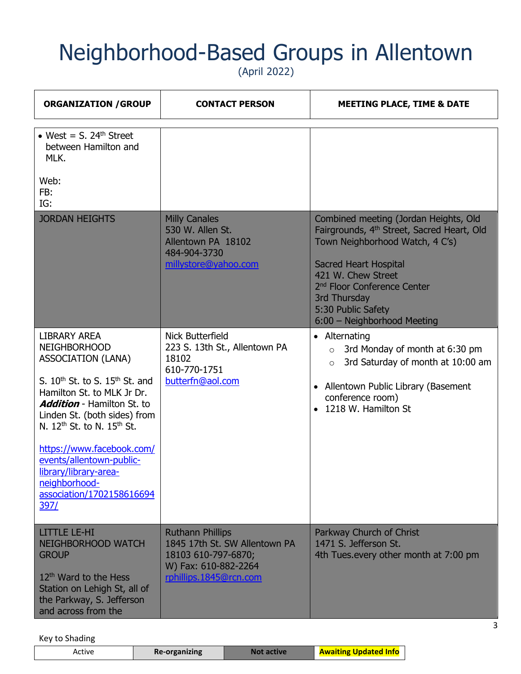(April 2022)

| <b>ORGANIZATION / GROUP</b>                                                                                                                                                                                                                                                                                                                                                                                          | <b>CONTACT PERSON</b>                                                                                                             | <b>MEETING PLACE, TIME &amp; DATE</b>                                                                                                                                                                                                                                                                    |
|----------------------------------------------------------------------------------------------------------------------------------------------------------------------------------------------------------------------------------------------------------------------------------------------------------------------------------------------------------------------------------------------------------------------|-----------------------------------------------------------------------------------------------------------------------------------|----------------------------------------------------------------------------------------------------------------------------------------------------------------------------------------------------------------------------------------------------------------------------------------------------------|
| • West = $S$ , 24 <sup>th</sup> Street<br>between Hamilton and<br>MLK.<br>Web:<br>FB:<br>IG:                                                                                                                                                                                                                                                                                                                         |                                                                                                                                   |                                                                                                                                                                                                                                                                                                          |
| <b>JORDAN HEIGHTS</b>                                                                                                                                                                                                                                                                                                                                                                                                | <b>Milly Canales</b><br>530 W. Allen St.<br>Allentown PA 18102<br>484-904-3730<br>millystore@yahoo.com                            | Combined meeting (Jordan Heights, Old<br>Fairgrounds, 4 <sup>th</sup> Street, Sacred Heart, Old<br>Town Neighborhood Watch, 4 C's)<br><b>Sacred Heart Hospital</b><br>421 W. Chew Street<br>2 <sup>nd</sup> Floor Conference Center<br>3rd Thursday<br>5:30 Public Safety<br>6:00 - Neighborhood Meeting |
| <b>LIBRARY AREA</b><br><b>NEIGHBORHOOD</b><br><b>ASSOCIATION (LANA)</b><br>S. $10^{th}$ St. to S. $15^{th}$ St. and<br>Hamilton St. to MLK Jr Dr.<br><b>Addition</b> - Hamilton St. to<br>Linden St. (both sides) from<br>N. 12 <sup>th</sup> St. to N. 15 <sup>th</sup> St.<br>https://www.facebook.com/<br>events/allentown-public-<br>library/library-area-<br>neighborhood-<br>association/1702158616694<br>397/ | <b>Nick Butterfield</b><br>223 S. 13th St., Allentown PA<br>18102<br>610-770-1751<br>butterfn@aol.com                             | • Alternating<br>3rd Monday of month at 6:30 pm<br>$\circ$<br>3rd Saturday of month at 10:00 am<br>$\circ$<br>• Allentown Public Library (Basement<br>conference room)<br>1218 W. Hamilton St                                                                                                            |
| <b>LITTLE LE-HI</b><br><b>NEIGHBORHOOD WATCH</b><br><b>GROUP</b><br>12 <sup>th</sup> Ward to the Hess<br>Station on Lehigh St, all of<br>the Parkway, S. Jefferson<br>and across from the                                                                                                                                                                                                                            | <b>Ruthann Phillips</b><br>1845 17th St. SW Allentown PA<br>18103 610-797-6870;<br>W) Fax: 610-882-2264<br>rphillips.1845@rcn.com | Parkway Church of Christ<br>1471 S. Jefferson St.<br>4th Tues.every other month at 7:00 pm                                                                                                                                                                                                               |

| Active | Re-organizing | <b>ctive</b> | <b>Awaiting Updated Info</b> |
|--------|---------------|--------------|------------------------------|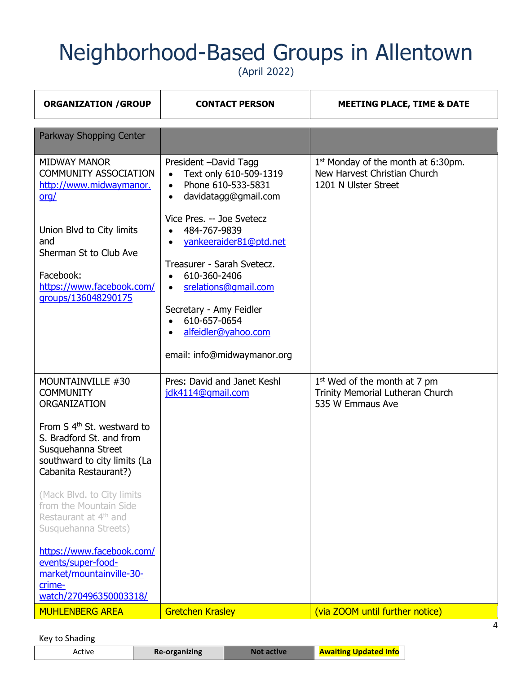(April 2022)

| <b>ORGANIZATION / GROUP</b>                                                                                                                                                                                       | <b>CONTACT PERSON</b>                                                                                                                                                                                                                              | <b>MEETING PLACE, TIME &amp; DATE</b>                                                                  |
|-------------------------------------------------------------------------------------------------------------------------------------------------------------------------------------------------------------------|----------------------------------------------------------------------------------------------------------------------------------------------------------------------------------------------------------------------------------------------------|--------------------------------------------------------------------------------------------------------|
| Parkway Shopping Center                                                                                                                                                                                           |                                                                                                                                                                                                                                                    |                                                                                                        |
| <b>MIDWAY MANOR</b><br><b>COMMUNITY ASSOCIATION</b><br>http://www.midwaymanor.<br><u>org/</u>                                                                                                                     | President -David Tagg<br>Text only 610-509-1319<br>Phone 610-533-5831<br>$\bullet$<br>davidatagg@gmail.com<br>$\bullet$                                                                                                                            | 1 <sup>st</sup> Monday of the month at 6:30pm.<br>New Harvest Christian Church<br>1201 N Ulster Street |
| Union Blvd to City limits<br>and<br>Sherman St to Club Ave<br>Facebook:<br>https://www.facebook.com/<br>groups/136048290175                                                                                       | Vice Pres. -- Joe Svetecz<br>484-767-9839<br>yankeeraider81@ptd.net<br>$\bullet$<br>Treasurer - Sarah Svetecz.<br>610-360-2406<br>$\bullet$<br>srelations@gmail.com<br>$\bullet$<br>Secretary - Amy Feidler<br>610-657-0654<br>alfeidler@yahoo.com |                                                                                                        |
|                                                                                                                                                                                                                   | email: info@midwaymanor.org                                                                                                                                                                                                                        |                                                                                                        |
| MOUNTAINVILLE #30<br><b>COMMUNITY</b><br><b>ORGANIZATION</b><br>From S 4 <sup>th</sup> St. westward to<br>S. Bradford St. and from<br>Susquehanna Street<br>southward to city limits (La<br>Cabanita Restaurant?) | Pres: David and Janet Keshl<br>jdk4114@qmail.com                                                                                                                                                                                                   | $1st$ Wed of the month at 7 pm<br>Trinity Memorial Lutheran Church<br>535 W Emmaus Ave                 |
| (Mack Blvd. to City limits<br>from the Mountain Side<br>Restaurant at 4 <sup>th</sup> and<br>Susquehanna Streets)                                                                                                 |                                                                                                                                                                                                                                                    |                                                                                                        |
| https://www.facebook.com/<br>events/super-food-<br>market/mountainville-30-<br>crime-<br>watch/270496350003318/                                                                                                   |                                                                                                                                                                                                                                                    |                                                                                                        |
| <b>MUHLENBERG AREA</b>                                                                                                                                                                                            | <b>Gretchen Krasley</b>                                                                                                                                                                                                                            | (via ZOOM until further notice)                                                                        |

#### Key to Shading

| <b>Awaiting Updated Info</b><br>Re-organizing<br>Not active<br>Active |
|-----------------------------------------------------------------------|
|-----------------------------------------------------------------------|

4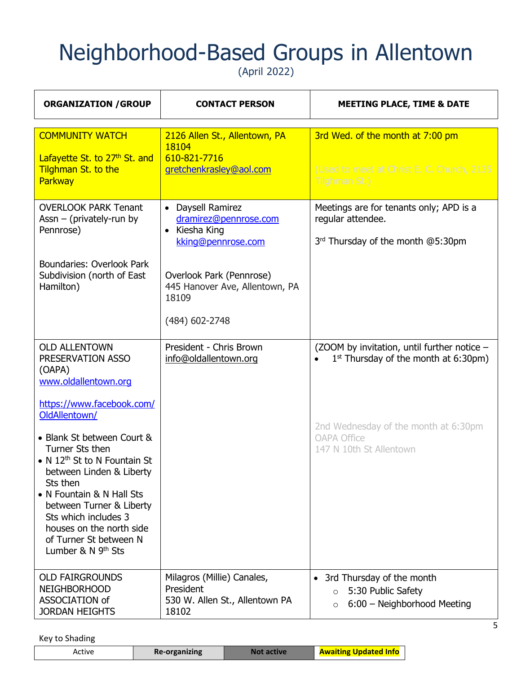(April 2022)

| <b>ORGANIZATION / GROUP</b>                                                                                                                                                                                                                                                                                                                                                                                                             | <b>CONTACT PERSON</b>                                                                                                                                                                 | <b>MEETING PLACE, TIME &amp; DATE</b>                                                                                                                                                       |  |
|-----------------------------------------------------------------------------------------------------------------------------------------------------------------------------------------------------------------------------------------------------------------------------------------------------------------------------------------------------------------------------------------------------------------------------------------|---------------------------------------------------------------------------------------------------------------------------------------------------------------------------------------|---------------------------------------------------------------------------------------------------------------------------------------------------------------------------------------------|--|
| <b>COMMUNITY WATCH</b><br>Lafayette St. to 27th St. and<br>Tilghman St. to the<br><b>Parkway</b>                                                                                                                                                                                                                                                                                                                                        | 2126 Allen St., Allentown, PA<br>18104<br>610-821-7716<br>gretchenkrasley@aol.com                                                                                                     | 3rd Wed. of the month at 7:00 pm<br>(Used to meet at Christ E. C. Church, 2135<br>Tilghman St.)                                                                                             |  |
| <b>OVERLOOK PARK Tenant</b><br>Assn $-$ (privately-run by<br>Pennrose)<br>Boundaries: Overlook Park<br>Subdivision (north of East<br>Hamilton)                                                                                                                                                                                                                                                                                          | • Daysell Ramirez<br>dramirez@pennrose.com<br>Kiesha King<br>$\bullet$<br>kking@pennrose.com<br>Overlook Park (Pennrose)<br>445 Hanover Ave, Allentown, PA<br>18109<br>(484) 602-2748 | Meetings are for tenants only; APD is a<br>regular attendee.<br>3rd Thursday of the month @5:30pm                                                                                           |  |
| <b>OLD ALLENTOWN</b><br>PRESERVATION ASSO<br>(OAPA)<br>www.oldallentown.org<br>https://www.facebook.com/<br>OldAllentown/<br>• Blank St between Court &<br>Turner Sts then<br>• N 12 <sup>th</sup> St to N Fountain St<br>between Linden & Liberty<br>Sts then<br>• N Fountain & N Hall Sts<br>between Turner & Liberty<br>Sts which includes 3<br>houses on the north side<br>of Turner St between N<br>Lumber & N 9 <sup>th</sup> Sts | President - Chris Brown<br>info@oldallentown.org                                                                                                                                      | (ZOOM by invitation, until further notice -<br>$1st$ Thursday of the month at 6:30pm)<br>$\bullet$<br>2nd Wednesday of the month at 6:30pm<br><b>OAPA Office</b><br>147 N 10th St Allentown |  |
| <b>OLD FAIRGROUNDS</b><br><b>NEIGHBORHOOD</b><br>ASSOCIATION of<br><b>JORDAN HEIGHTS</b>                                                                                                                                                                                                                                                                                                                                                | Milagros (Millie) Canales,<br>President<br>530 W. Allen St., Allentown PA<br>18102                                                                                                    | 3rd Thursday of the month<br>$\bullet$<br>5:30 Public Safety<br>$\circ$<br>6:00 - Neighborhood Meeting<br>$\circ$                                                                           |  |

Key to Shading

L

| <b>Awaiting Updated Info</b><br><b>Re-organizing</b><br>Active |
|----------------------------------------------------------------|
|----------------------------------------------------------------|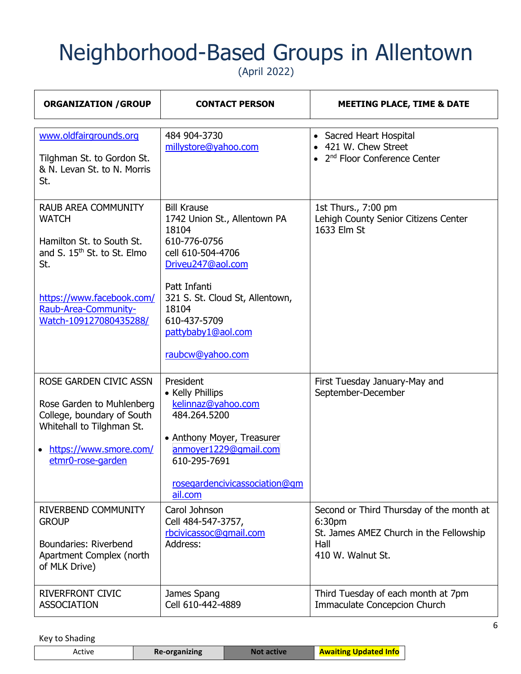(April 2022)

| <b>ORGANIZATION / GROUP</b>                                                                                                                                                                              | <b>CONTACT PERSON</b>                                                                                                                                                                                                                       | <b>MEETING PLACE, TIME &amp; DATE</b>                                                                                      |
|----------------------------------------------------------------------------------------------------------------------------------------------------------------------------------------------------------|---------------------------------------------------------------------------------------------------------------------------------------------------------------------------------------------------------------------------------------------|----------------------------------------------------------------------------------------------------------------------------|
| www.oldfairgrounds.org<br>Tilghman St. to Gordon St.<br>& N. Levan St. to N. Morris<br>St.                                                                                                               | 484 904-3730<br>millystore@yahoo.com                                                                                                                                                                                                        | • Sacred Heart Hospital<br>• 421 W. Chew Street<br>• $2nd$ Floor Conference Center                                         |
| <b>RAUB AREA COMMUNITY</b><br><b>WATCH</b><br>Hamilton St. to South St.<br>and S. 15 <sup>th</sup> St. to St. Elmo<br>St.<br>https://www.facebook.com/<br>Raub-Area-Community-<br>Watch-109127080435288/ | <b>Bill Krause</b><br>1742 Union St., Allentown PA<br>18104<br>610-776-0756<br>cell 610-504-4706<br>Driveu247@aol.com<br>Patt Infanti<br>321 S. St. Cloud St, Allentown,<br>18104<br>610-437-5709<br>pattybaby1@aol.com<br>raubcw@yahoo.com | 1st Thurs., 7:00 pm<br>Lehigh County Senior Citizens Center<br>1633 Elm St                                                 |
| ROSE GARDEN CIVIC ASSN<br>Rose Garden to Muhlenberg<br>College, boundary of South<br>Whitehall to Tilghman St.<br>https://www.smore.com/<br>etmr0-rose-garden                                            | President<br>• Kelly Phillips<br>kelinnaz@yahoo.com<br>484.264.5200<br>• Anthony Moyer, Treasurer<br>anmoyer1229@qmail.com<br>610-295-7691<br>rosegardencivicassociation@gm<br>ail.com                                                      | First Tuesday January-May and<br>September-December                                                                        |
| <b>RIVERBEND COMMUNITY</b><br><b>GROUP</b><br>Boundaries: Riverbend<br>Apartment Complex (north<br>of MLK Drive)                                                                                         | Carol Johnson<br>Cell 484-547-3757,<br>rbcivicassoc@qmail.com<br>Address:                                                                                                                                                                   | Second or Third Thursday of the month at<br>6:30pm<br>St. James AMEZ Church in the Fellowship<br>Hall<br>410 W. Walnut St. |
| <b>RIVERFRONT CIVIC</b><br><b>ASSOCIATION</b>                                                                                                                                                            | James Spang<br>Cell 610-442-4889                                                                                                                                                                                                            | Third Tuesday of each month at 7pm<br>Immaculate Concepcion Church                                                         |

| <b>Awaiting Updated Info</b><br>Re-organizing<br>Not active<br>Active |
|-----------------------------------------------------------------------|
|-----------------------------------------------------------------------|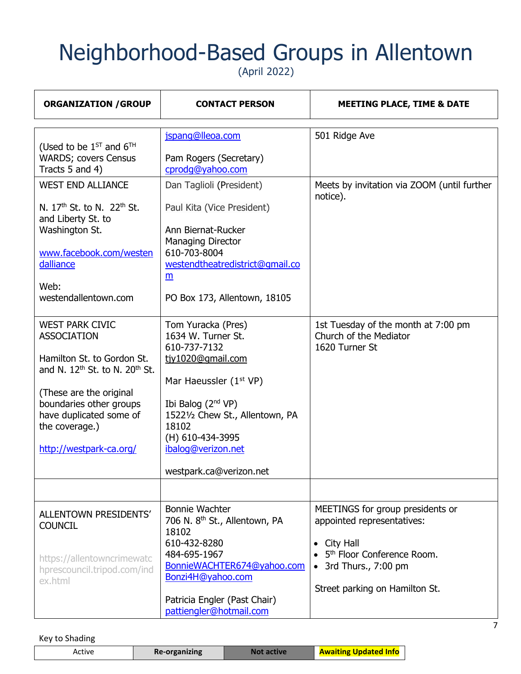(April 2022)

| <b>ORGANIZATION / GROUP</b><br><b>CONTACT PERSON</b>                                                                                                                                                                                                               |                                                                                                                                                                                                                                                                        | <b>MEETING PLACE, TIME &amp; DATE</b>                                                                                                                                                       |  |
|--------------------------------------------------------------------------------------------------------------------------------------------------------------------------------------------------------------------------------------------------------------------|------------------------------------------------------------------------------------------------------------------------------------------------------------------------------------------------------------------------------------------------------------------------|---------------------------------------------------------------------------------------------------------------------------------------------------------------------------------------------|--|
| (Used to be $1^{ST}$ and $6^{TH}$<br><b>WARDS; covers Census</b><br>Tracts 5 and 4)                                                                                                                                                                                | jspang@lleoa.com<br>Pam Rogers (Secretary)<br>cprodg@yahoo.com                                                                                                                                                                                                         | 501 Ridge Ave                                                                                                                                                                               |  |
| <b>WEST END ALLIANCE</b><br>N. 17 <sup>th</sup> St. to N. 22 <sup>th</sup> St.<br>and Liberty St. to<br>Washington St.<br>www.facebook.com/westen<br>dalliance<br>Web:<br>westendallentown.com                                                                     | Dan Taglioli (President)<br>Paul Kita (Vice President)<br>Ann Biernat-Rucker<br><b>Managing Director</b><br>610-703-8004<br>westendtheatredistrict@gmail.co<br>m<br>PO Box 173, Allentown, 18105                                                                       | Meets by invitation via ZOOM (until further<br>notice).                                                                                                                                     |  |
| <b>WEST PARK CIVIC</b><br><b>ASSOCIATION</b><br>Hamilton St. to Gordon St.<br>and N. 12 <sup>th</sup> St. to N. 20 <sup>th</sup> St.<br>(These are the original<br>boundaries other groups<br>have duplicated some of<br>the coverage.)<br>http://westpark-ca.org/ | Tom Yuracka (Pres)<br>1634 W. Turner St.<br>610-737-7132<br>tjy1020@gmail.com<br>Mar Haeussler (1 <sup>st</sup> VP)<br>Ibi Balog (2 <sup>nd</sup> VP)<br>15221/2 Chew St., Allentown, PA<br>18102<br>(H) 610-434-3995<br>ibalog@verizon.net<br>westpark.ca@verizon.net | 1st Tuesday of the month at 7:00 pm<br>Church of the Mediator<br>1620 Turner St                                                                                                             |  |
|                                                                                                                                                                                                                                                                    |                                                                                                                                                                                                                                                                        |                                                                                                                                                                                             |  |
| ALLENTOWN PRESIDENTS'<br><b>COUNCIL</b><br>https://allentowncrimewatc<br>hprescouncil.tripod.com/ind<br>ex.html                                                                                                                                                    | <b>Bonnie Wachter</b><br>706 N. 8 <sup>th</sup> St., Allentown, PA<br>18102<br>610-432-8280<br>484-695-1967<br>BonnieWACHTER674@yahoo.com<br>Bonzi4H@yahoo.com<br>Patricia Engler (Past Chair)<br>pattiengler@hotmail.com                                              | MEETINGS for group presidents or<br>appointed representatives:<br>City Hall<br>$\bullet$<br>5 <sup>th</sup> Floor Conference Room.<br>3rd Thurs., 7:00 pm<br>Street parking on Hamilton St. |  |

| المكسابات<br><b>prganizing</b><br>Re-orga<br>Active<br><b>Gated Info</b><br>. |
|-------------------------------------------------------------------------------|
|-------------------------------------------------------------------------------|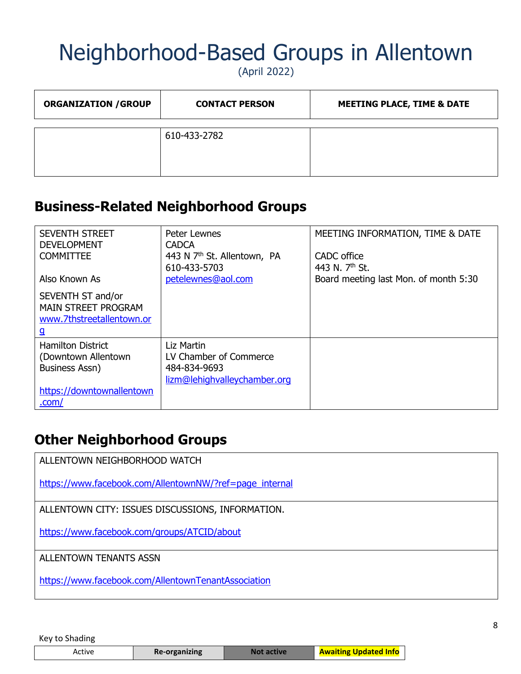(April 2022)

| <b>ORGANIZATION / GROUP</b> | <b>CONTACT PERSON</b> | <b>MEETING PLACE, TIME &amp; DATE</b> |
|-----------------------------|-----------------------|---------------------------------------|
|                             | 610-433-2782          |                                       |

#### **Business-Related Neighborhood Groups**

| <b>SEVENTH STREET</b><br><b>DEVELOPMENT</b><br><b>COMMITTEE</b>                   | Peter Lewnes<br><b>CADCA</b><br>443 N 7 <sup>th</sup> St. Allentown, PA<br>610-433-5703 | MEETING INFORMATION, TIME & DATE<br>CADC office<br>443 N. 7 <sup>th</sup> St. |
|-----------------------------------------------------------------------------------|-----------------------------------------------------------------------------------------|-------------------------------------------------------------------------------|
| Also Known As                                                                     | petelewnes@aol.com                                                                      | Board meeting last Mon. of month 5:30                                         |
| SEVENTH ST and/or<br><b>MAIN STREET PROGRAM</b><br>www.7thstreetallentown.or<br>g |                                                                                         |                                                                               |
| <b>Hamilton District</b>                                                          | Liz Martin                                                                              |                                                                               |
| (Downtown Allentown                                                               | LV Chamber of Commerce                                                                  |                                                                               |
| Business Assn)                                                                    | 484-834-9693                                                                            |                                                                               |
|                                                                                   | lizm@lehighvalleychamber.org                                                            |                                                                               |
| https://downtownallentown                                                         |                                                                                         |                                                                               |
| .com/                                                                             |                                                                                         |                                                                               |

#### **Other Neighborhood Groups**

ALLENTOWN NEIGHBORHOOD WATCH

[https://www.facebook.com/AllentownNW/?ref=page\\_internal](https://www.facebook.com/AllentownNW/?ref=page_internal)

ALLENTOWN CITY: ISSUES DISCUSSIONS, INFORMATION.

<https://www.facebook.com/groups/ATCID/about>

ALLENTOWN TENANTS ASSN

<https://www.facebook.com/AllentownTenantAssociation>

| <b>Re-organizing</b><br>Active | <b>Not active</b> | <b>Awaiting Updated Info</b> |  |
|--------------------------------|-------------------|------------------------------|--|
|--------------------------------|-------------------|------------------------------|--|